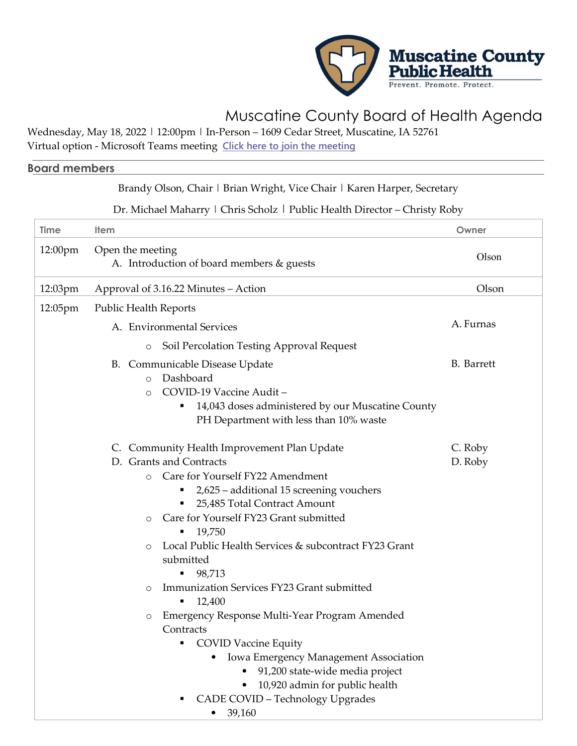

## Muscatine County Board of Health Agenda

Wednesday, May 18, 2022 | 12:00pm | In-Person – 1609 Cedar Street, Muscatine, IA 52761

Virtual option - Microsoft Teams meeting **[Click here to join the meeting](https://teams.microsoft.com/l/meetup-join/19%3ameeting_Y2EwNzk3MzgtNDI4Yy00ZWFjLTkzZGEtMjM3NGJiZWI3NTM2%40thread.v2/0?context=%7b%22Tid%22%3a%22ab214bcd-9b97-41bb-aa9d-46cf10d822fd%22%2c%22Oid%22%3a%22ab8b2689-7f88-45bc-98e4-8b3fb9d0ffd4%22%7d)**

## **Board members**

## Brandy Olson, Chair | Brian Wright, Vice Chair | Karen Harper, Secretary

## Dr. Michael Maharry | Chris Scholz | Public Health Director - Christy Roby

| Time    | <b>Item</b>                                                                                                                                                                                                                                                                                                                                                                                                                                                                                                                                                                                                                                                                                             | Owner              |
|---------|---------------------------------------------------------------------------------------------------------------------------------------------------------------------------------------------------------------------------------------------------------------------------------------------------------------------------------------------------------------------------------------------------------------------------------------------------------------------------------------------------------------------------------------------------------------------------------------------------------------------------------------------------------------------------------------------------------|--------------------|
| 12:00pm | Open the meeting<br>A. Introduction of board members & guests                                                                                                                                                                                                                                                                                                                                                                                                                                                                                                                                                                                                                                           | Olson              |
| 12:03pm | Approval of 3.16.22 Minutes - Action                                                                                                                                                                                                                                                                                                                                                                                                                                                                                                                                                                                                                                                                    | Olson              |
| 12:05pm | <b>Public Health Reports</b>                                                                                                                                                                                                                                                                                                                                                                                                                                                                                                                                                                                                                                                                            |                    |
|         | A. Environmental Services                                                                                                                                                                                                                                                                                                                                                                                                                                                                                                                                                                                                                                                                               | A. Furnas          |
|         | Soil Percolation Testing Approval Request<br>$\circ$                                                                                                                                                                                                                                                                                                                                                                                                                                                                                                                                                                                                                                                    |                    |
|         | B. Communicable Disease Update<br>Dashboard<br>$\circ$<br>COVID-19 Vaccine Audit-<br>$\circ$<br>14,043 doses administered by our Muscatine County<br>٠<br>PH Department with less than 10% waste                                                                                                                                                                                                                                                                                                                                                                                                                                                                                                        | <b>B.</b> Barrett  |
|         | C. Community Health Improvement Plan Update<br>D. Grants and Contracts<br>Care for Yourself FY22 Amendment<br>$\circ$<br>2,625 - additional 15 screening vouchers<br>п<br>25,485 Total Contract Amount<br>Care for Yourself FY23 Grant submitted<br>$\circ$<br>19,750<br>Local Public Health Services & subcontract FY23 Grant<br>$\circ$<br>submitted<br>98,713<br>٠<br>Immunization Services FY23 Grant submitted<br>$\circ$<br>12,400<br>Emergency Response Multi-Year Program Amended<br>$\circ$<br>Contracts<br>• COVID Vaccine Equity<br>Iowa Emergency Management Association<br>91,200 state-wide media project<br>10,920 admin for public health<br>CADE COVID - Technology Upgrades<br>39,160 | C. Roby<br>D. Roby |